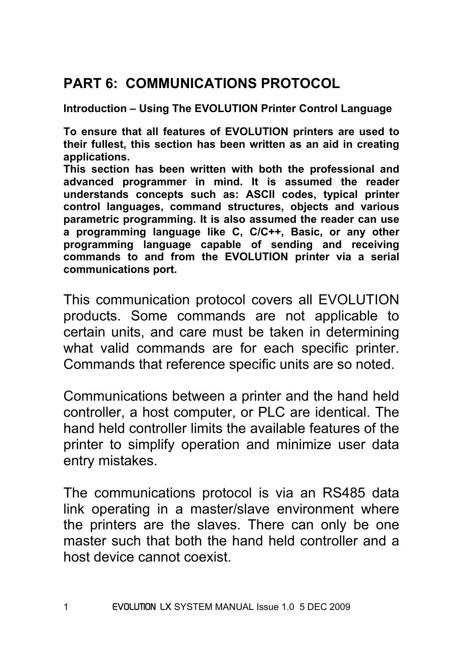# **PART 6: COMMUNICATIONS PROTOCOL**

**Introduction – Using The EVOLUTION Printer Control Language** 

**To ensure that all features of EVOLUTION printers are used to their fullest, this section has been written as an aid in creating applications.** 

**This section has been written with both the professional and advanced programmer in mind. It is assumed the reader understands concepts such as: ASCII codes, typical printer control languages, command structures, objects and various parametric programming. It is also assumed the reader can use a programming language like C, C/C++, Basic, or any other programming language capable of sending and receiving commands to and from the EVOLUTION printer via a serial communications port.** 

This communication protocol covers all EVOLUTION products. Some commands are not applicable to certain units, and care must be taken in determining what valid commands are for each specific printer. Commands that reference specific units are so noted.

Communications between a printer and the hand held controller, a host computer, or PLC are identical. The hand held controller limits the available features of the printer to simplify operation and minimize user data entry mistakes.

The communications protocol is via an RS485 data link operating in a master/slave environment where the printers are the slaves. There can only be one master such that both the hand held controller and a host device cannot coexist.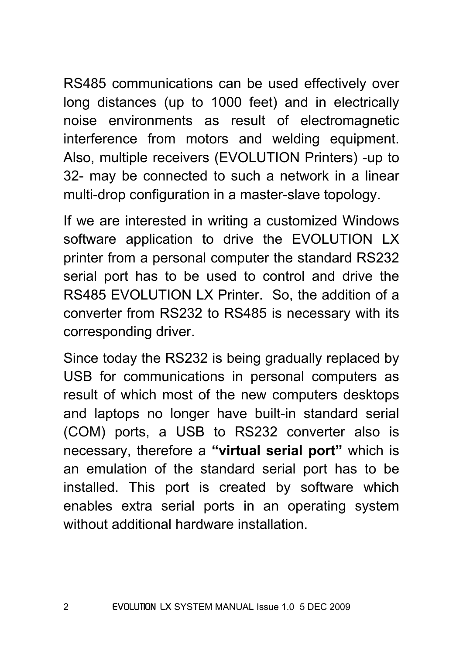RS485 communications can be used effectively over long distances (up to 1000 feet) and in electrically noise environments as result of electromagnetic interference from motors and welding equipment. Also, multiple receivers (EVOLUTION Printers) -up to 32- may be connected to such a network in a linear multi-drop configuration in a master-slave topology.

If we are interested in writing a customized Windows software application to drive the EVOLUTION LX printer from a personal computer the standard RS232 serial port has to be used to control and drive the RS485 EVOLUTION LX Printer. So, the addition of a converter from RS232 to RS485 is necessary with its corresponding driver.

Since today the RS232 is being gradually replaced by USB for communications in personal computers as result of which most of the new computers desktops and laptops no longer have built-in standard serial (COM) ports, a USB to RS232 converter also is necessary, therefore a **"virtual serial port"** which is an emulation of the standard serial port has to be installed. This port is created by software which enables extra serial ports in an operating system without additional hardware installation.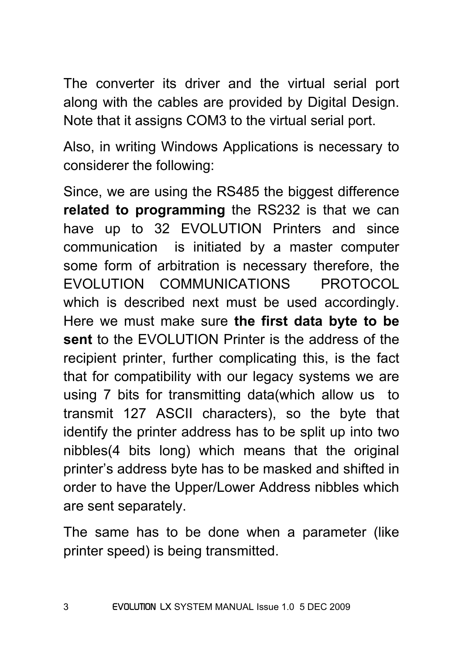The converter its driver and the virtual serial port along with the cables are provided by Digital Design. Note that it assigns COM3 to the virtual serial port.

Also, in writing Windows Applications is necessary to considerer the following:

Since, we are using the RS485 the biggest difference **related to programming** the RS232 is that we can have up to 32 EVOLUTION Printers and since communication is initiated by a master computer some form of arbitration is necessary therefore, the EVOLUTION COMMUNICATIONS PROTOCOL which is described next must be used accordingly. Here we must make sure **the first data byte to be sent** to the EVOLUTION Printer is the address of the recipient printer, further complicating this, is the fact that for compatibility with our legacy systems we are using 7 bits for transmitting data(which allow us to transmit 127 ASCII characters), so the byte that identify the printer address has to be split up into two nibbles(4 bits long) which means that the original printer's address byte has to be masked and shifted in order to have the Upper/Lower Address nibbles which are sent separately.

The same has to be done when a parameter (like printer speed) is being transmitted.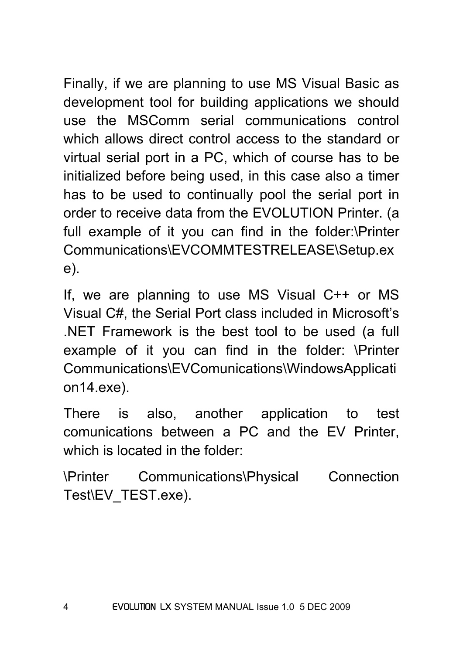Finally, if we are planning to use MS Visual Basic as development tool for building applications we should use the MSComm serial communications control which allows direct control access to the standard or virtual serial port in a PC, which of course has to be initialized before being used, in this case also a timer has to be used to continually pool the serial port in order to receive data from the EVOLUTION Printer. (a full example of it you can find in the folder:\Printer Communications\EVCOMMTESTRELEASE\Setup.ex e).

If, we are planning to use MS Visual C++ or MS Visual C#, the Serial Port class included in Microsoft's .NET Framework is the best tool to be used (a full example of it you can find in the folder: \Printer Communications\EVComunications\WindowsApplicati on14.exe).

There is also, another application to test comunications between a PC and the EV Printer, which is located in the folder:

\Printer Communications\Physical Connection Test\EV\_TEST.exe).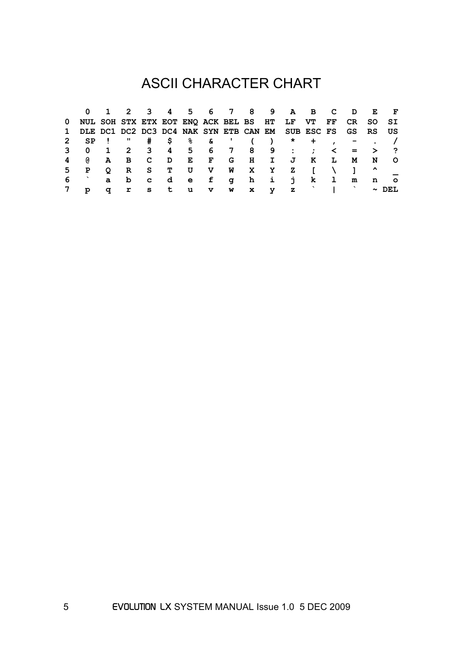# ASCII CHARACTER CHART

|              | 0        |                          | 2            | $\overline{3}$ 4        |    |            |   |   |              |     | 5 6 7 8 9 A B C                                   |     |              | D.          | E                   |         |
|--------------|----------|--------------------------|--------------|-------------------------|----|------------|---|---|--------------|-----|---------------------------------------------------|-----|--------------|-------------|---------------------|---------|
| 0            |          |                          |              |                         |    |            |   |   |              |     | NUL SOH STX ETX EOT ENO ACK BEL BS HT LF VT       |     |              | FF CR SO SI |                     |         |
| $\mathbf{1}$ |          |                          |              |                         |    |            |   |   |              |     | DLE DC1 DC2 DC3 DC4 NAK SYN ETB CAN EM SUB ESC FS |     |              | GS          | RS US               |         |
| 2            | SP       |                          | π            |                         |    | # \$ % & ' |   |   |              |     | $\star$                                           | $+$ |              |             |                     |         |
|              | 0        | $\overline{\phantom{a}}$ |              |                         |    |            |   |   |              |     | 2 3 4 5 6 7 8 9 : :                               |     | ≺            |             | $=$ $>$ ?           |         |
| 4            | <b>a</b> | A                        | B            | $\overline{\mathbf{C}}$ | D  | E          |   |   | F G H I      |     | J                                                 | K   | L            | M           | N                   | - O     |
| 5.           | P        | O                        | $\mathbf{R}$ | S i                     | т  | U          |   |   | V W X Y      |     | z                                                 | Т.  |              |             | $\hat{\phantom{a}}$ |         |
| 6            |          | $\mathbf{a}$             | b            | $\overline{\mathbf{c}}$ |    | d e        | f | q |              | h i | $\mathbf{L}$                                      | k,  | $\mathbf{I}$ | m           | n                   | $\circ$ |
|              | p        | σ                        | r            | s.                      | t. | u          | v | w | $\mathbf{x}$ | v   | $\mathbf{z}$                                      |     |              |             | $\sim$              |         |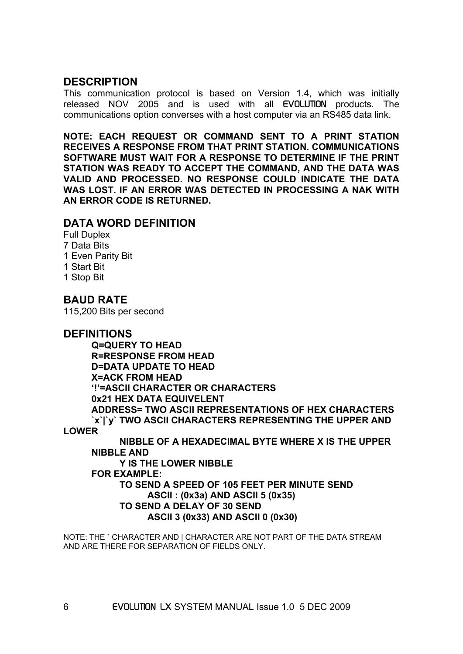#### **DESCRIPTION**

This communication protocol is based on Version 1.4, which was initially released NOV 2005 and is used with all EVOLUTION products. The communications option converses with a host computer via an RS485 data link.

**NOTE: EACH REQUEST OR COMMAND SENT TO A PRINT STATION RECEIVES A RESPONSE FROM THAT PRINT STATION. COMMUNICATIONS SOFTWARE MUST WAIT FOR A RESPONSE TO DETERMINE IF THE PRINT STATION WAS READY TO ACCEPT THE COMMAND, AND THE DATA WAS VALID AND PROCESSED. NO RESPONSE COULD INDICATE THE DATA WAS LOST. IF AN ERROR WAS DETECTED IN PROCESSING A NAK WITH AN ERROR CODE IS RETURNED.** 

#### **DATA WORD DEFINITION**

Full Duplex 7 Data Bits 1 Even Parity Bit 1 Start Bit 1 Stop Bit

#### **BAUD RATE**

115,200 Bits per second

#### **DEFINITIONS**

 **Q=QUERY TO HEAD R=RESPONSE FROM HEAD D=DATA UPDATE TO HEAD X=ACK FROM HEAD '!'=ASCII CHARACTER OR CHARACTERS 0x21 HEX DATA EQUIVELENT ADDRESS= TWO ASCII REPRESENTATIONS OF HEX CHARACTERS `x`|`y` TWO ASCII CHARACTERS REPRESENTING THE UPPER AND** 

**LOWER** 

**NIBBLE OF A HEXADECIMAL BYTE WHERE X IS THE UPPER NIBBLE AND Y IS THE LOWER NIBBLE FOR EXAMPLE: TO SEND A SPEED OF 105 FEET PER MINUTE SEND ASCII : (0x3a) AND ASCII 5 (0x35) TO SEND A DELAY OF 30 SEND ASCII 3 (0x33) AND ASCII 0 (0x30)** 

NOTE: THE ` CHARACTER AND | CHARACTER ARE NOT PART OF THE DATA STREAM AND ARE THERE FOR SEPARATION OF FIELDS ONLY.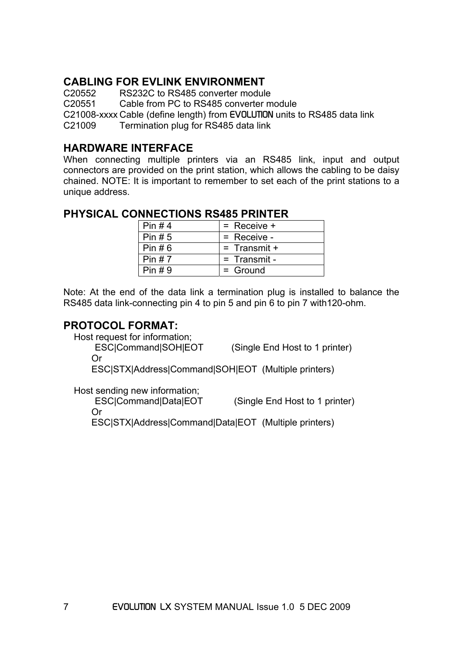## **CABLING FOR EVLINK ENVIRONMENT**

C20552 RS232C to RS485 converter module

C20551 Cable from PC to RS485 converter module

C21008-xxxx Cable (define length) from EVOLUTION units to RS485 data link

C21009 Termination plug for RS485 data link

#### **HARDWARE INTERFACE**

When connecting multiple printers via an RS485 link, input and output connectors are provided on the print station, which allows the cabling to be daisy chained. NOTE: It is important to remember to set each of the print stations to a unique address.

# **PHYSICAL CONNECTIONS RS485 PRINTER**

| $l$ Pin #4  | $=$ Receive $+$ |
|-------------|-----------------|
| $l$ Pin #5  | $=$ Receive -   |
| l Pin #6    | $=$ Transmit +  |
| $l$ Pin # 7 | $=$ Transmit -  |
| $l$ Pin #9  | $=$ Ground      |

Note: At the end of the data link a termination plug is installed to balance the RS485 data link-connecting pin 4 to pin 5 and pin 6 to pin 7 with120-ohm.

## **PROTOCOL FORMAT:**

Host request for information;

 ESC|Command|SOH|EOT (Single End Host to 1 printer) Or

ESC|STX|Address|Command|SOH|EOT (Multiple printers)

Host sending new information;

 ESC|Command|Data|EOT (Single End Host to 1 printer) Or

ESC|STX|Address|Command|Data|EOT (Multiple printers)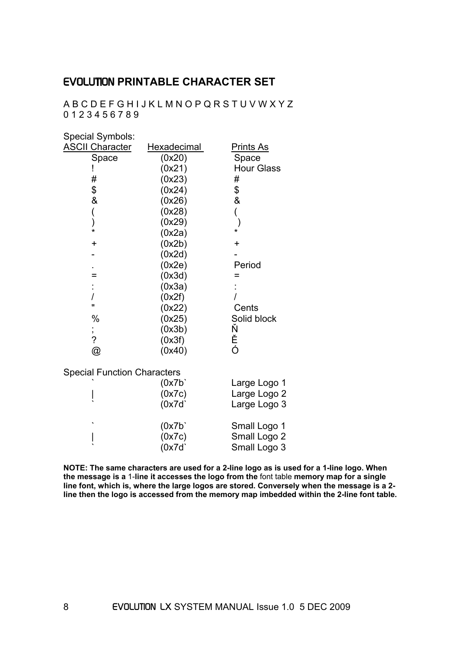## EVOLUTION **PRINTABLE CHARACTER SET**

A B C D E F G H I J K L M N O P Q R S T U V W X Y Z 0 1 2 3 4 5 6 7 8 9

| Special Symbols:                   |                    |                   |
|------------------------------------|--------------------|-------------------|
| <b>ASCII Character</b>             | <b>Hexadecimal</b> | <u>Prints As</u>  |
| Space                              | (0x20)             | Space             |
|                                    | (0x21)             | <b>Hour Glass</b> |
| #                                  | (0x23)             | #                 |
| \$<br>&                            | (0x24)             | \$<br>&           |
|                                    | (0x26)             |                   |
| (                                  | (0x28)             | (                 |
| )<br>*                             | (0x29)             | $\mathcal{E}$     |
|                                    | (0x2a)             | *                 |
| $\ddot{}$                          | (0x2b)             | $\ddot{}$         |
|                                    | (0x2d)             |                   |
|                                    | (0x2e)             | Period            |
| =                                  | (0x3d)             | =                 |
|                                    | (0x3a)             |                   |
|                                    | (0x2f)             |                   |
| Ħ                                  | (0x22)             | Cents             |
| $\%$                               | (0x25)             | Solid block       |
|                                    | (0x3b)             | Ň<br>Ě<br>Ó       |
|                                    | (0x3f)             |                   |
| ,<br>?<br>@                        | (0x40)             |                   |
| <b>Special Function Characters</b> |                    |                   |
|                                    | (0x7b)             | Large Logo 1      |
|                                    | (0x7c)             | Large Logo 2      |
|                                    | (0x7d)             | Large Logo 3      |
|                                    | (0x7b)             | Small Logo 1      |
|                                    | (0x7c)             | Small Logo 2      |
|                                    | (0x7d)             | Small Logo 3      |

**NOTE: The same characters are used for a 2-line logo as is used for a 1-line logo. When the message is a** 1-**line it accesses the logo from the** font table **memory map for a single line font, which is, where the large logos are stored. Conversely when the message is a 2 line then the logo is accessed from the memory map imbedded within the 2-line font table.**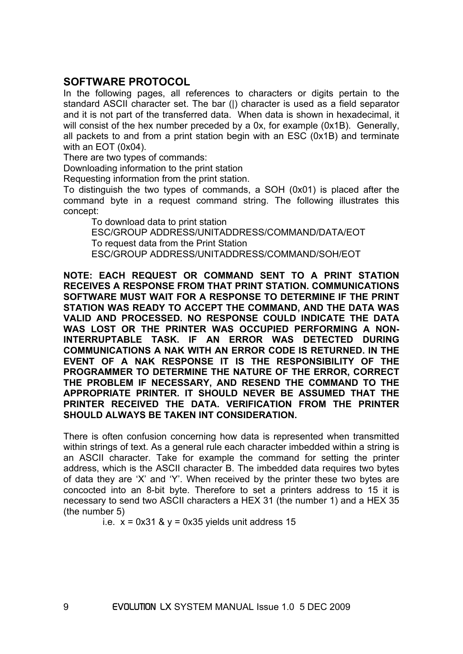## **SOFTWARE PROTOCOL**

In the following pages, all references to characters or digits pertain to the standard ASCII character set. The bar (|) character is used as a field separator and it is not part of the transferred data. When data is shown in hexadecimal, it will consist of the hex number preceded by a 0x, for example (0x1B). Generally, all packets to and from a print station begin with an ESC (0x1B) and terminate with an EOT (0x04).

There are two types of commands:

Downloading information to the print station

Requesting information from the print station.

To distinguish the two types of commands, a SOH (0x01) is placed after the command byte in a request command string. The following illustrates this concept:

 To download data to print station ESC/GROUP ADDRESS/UNITADDRESS/COMMAND/DATA/EOT To request data from the Print Station ESC/GROUP ADDRESS/UNITADDRESS/COMMAND/SOH/EOT

**NOTE: EACH REQUEST OR COMMAND SENT TO A PRINT STATION RECEIVES A RESPONSE FROM THAT PRINT STATION. COMMUNICATIONS SOFTWARE MUST WAIT FOR A RESPONSE TO DETERMINE IF THE PRINT STATION WAS READY TO ACCEPT THE COMMAND, AND THE DATA WAS VALID AND PROCESSED. NO RESPONSE COULD INDICATE THE DATA WAS LOST OR THE PRINTER WAS OCCUPIED PERFORMING A NON-INTERRUPTABLE TASK. IF AN ERROR WAS DETECTED DURING COMMUNICATIONS A NAK WITH AN ERROR CODE IS RETURNED. IN THE EVENT OF A NAK RESPONSE IT IS THE RESPONSIBILITY OF THE PROGRAMMER TO DETERMINE THE NATURE OF THE ERROR, CORRECT THE PROBLEM IF NECESSARY, AND RESEND THE COMMAND TO THE APPROPRIATE PRINTER. IT SHOULD NEVER BE ASSUMED THAT THE PRINTER RECEIVED THE DATA. VERIFICATION FROM THE PRINTER SHOULD ALWAYS BE TAKEN INT CONSIDERATION.** 

There is often confusion concerning how data is represented when transmitted within strings of text. As a general rule each character imbedded within a string is an ASCII character. Take for example the command for setting the printer address, which is the ASCII character B. The imbedded data requires two bytes of data they are 'X' and 'Y'. When received by the printer these two bytes are concocted into an 8-bit byte. Therefore to set a printers address to 15 it is necessary to send two ASCII characters a HEX 31 (the number 1) and a HEX 35 (the number 5)

i.e.  $x = 0x31$  &  $y = 0x35$  yields unit address 15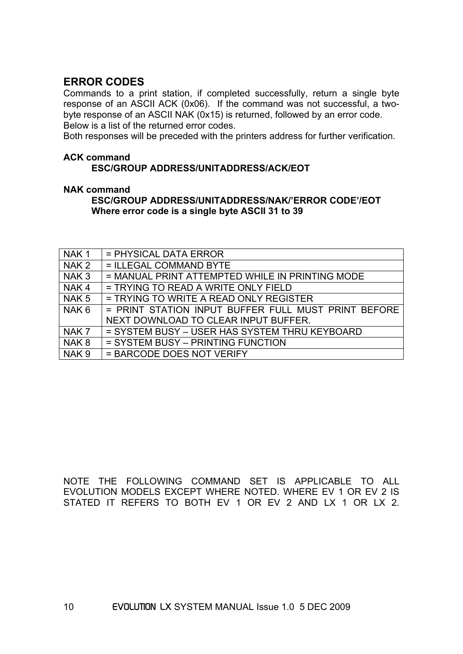#### **ERROR CODES**

Commands to a print station, if completed successfully, return a single byte response of an ASCII ACK (0x06). If the command was not successful, a twobyte response of an ASCII NAK (0x15) is returned, followed by an error code. Below is a list of the returned error codes.

Both responses will be preceded with the printers address for further verification.

#### **ACK command**

#### **ESC/GROUP ADDRESS/UNITADDRESS/ACK/EOT**

#### **NAK command**

 **ESC/GROUP ADDRESS/UNITADDRESS/NAK/'ERROR CODE'/EOT Where error code is a single byte ASCII 31 to 39** 

| NAK <sub>1</sub> | = PHYSICAL DATA ERROR                               |
|------------------|-----------------------------------------------------|
| NAK <sub>2</sub> | = ILLEGAL COMMAND BYTE                              |
| NAK <sub>3</sub> | = MANUAL PRINT ATTEMPTED WHILE IN PRINTING MODE     |
| NAK4             | = TRYING TO READ A WRITE ONLY FIELD                 |
| NAK <sub>5</sub> | = TRYING TO WRITE A READ ONLY REGISTER              |
| NAK <sub>6</sub> | = PRINT STATION INPUT BUFFER FULL MUST PRINT BEFORE |
|                  | NEXT DOWNLOAD TO CLEAR INPUT BUFFER.                |
| NAK <sub>7</sub> | = SYSTEM BUSY - USER HAS SYSTEM THRU KEYBOARD       |
| NAK <sub>8</sub> | = SYSTEM BUSY - PRINTING FUNCTION                   |
| NAK <sub>9</sub> | = BARCODE DOES NOT VERIFY                           |

NOTE THE FOLLOWING COMMAND SET IS APPLICABLE TO ALL EVOLUTION MODELS EXCEPT WHERE NOTED. WHERE EV 1 OR EV 2 IS STATED IT REFERS TO BOTH EV 1 OR EV 2 AND LX 1 OR LX 2.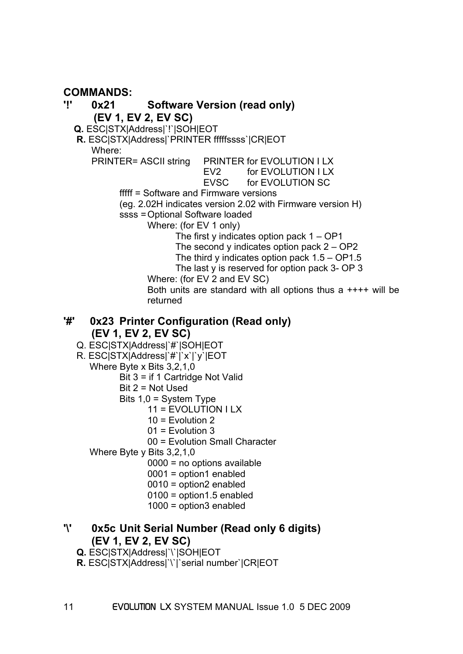## **COMMANDS:**

#### **'!' 0x21 Software Version (read only) (EV 1, EV 2, EV SC) Q.** ESC|STX|Address|`!`|SOH|EOT **R.** ESC|STX|Address|`PRINTER fffffssss`|CR|EOT Where: PRINTER= ASCII string PRINTER for EVOLUTION I LX EV2 for EVOLUTION I LX EVSC for EVOLUTION SC fffff = Software and Firmware versions (eg. 2.02H indicates version 2.02 with Firmware version H) ssss = Optional Software loaded Where: (for EV 1 only) The first y indicates option pack  $1 - OP1$ The second y indicates option pack  $2 - OP2$  The third y indicates option pack 1.5 – OP1.5 The last y is reserved for option pack 3- OP 3 Where: (for EV 2 and EV SC) Both units are standard with all options thus a ++++ will be returned

#### **'#' 0x23 Printer Configuration (Read only) (EV 1, EV 2, EV SC)**

- Q. ESC|STX|Address|`#`|SOH|EOT
- R. ESC|STX|Address|`#`|`x`|`y`|EOT
	- Where Byte x Bits 3,2,1,0
		- Bit 3 = if 1 Cartridge Not Valid
		- Bit 2 = Not Used
		- Bits 1,0 = System Type
			- 11 = EVOLUTION I LX
			- $10$  = Evolution 2
			- 01 = Evolution 3
			- 00 = Evolution Small Character

Where Byte y Bits 3,2,1,0

- 0000 = no options available
- 0001 = option1 enabled
- 0010 = option2 enabled
- 0100 = option1.5 enabled
- 1000 = option3 enabled

## **'\' 0x5c Unit Serial Number (Read only 6 digits) (EV 1, EV 2, EV SC)**

- **Q.** ESC|STX|Address|`\`|SOH|EOT
- **R.** ESC|STX|Address|`\`|`serial number`|CR|EOT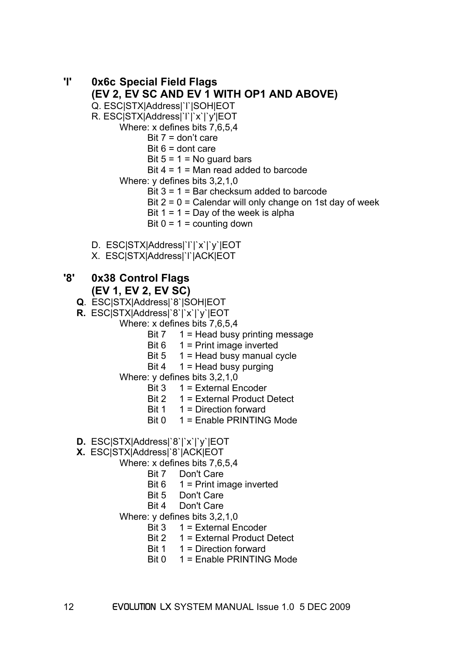#### **'l' 0x6c Special Field Flags (EV 2, EV SC AND EV 1 WITH OP1 AND ABOVE)**  Q. ESC|STX|Address|`l`|SOH|EOT

R. ESC|STX|Address|`l`|`x`|`y'|EOT

Where: x defines bits 7,6,5,4

Bit  $7 =$  don't care

Bit  $6 =$  dont care

Bit  $5 = 1 = No$  guard bars

Bit  $4 = 1$  = Man read added to barcode

Where: y defines bits 3,2,1,0

Bit 3 = 1 = Bar checksum added to barcode

Bit  $2 = 0$  = Calendar will only change on 1st day of week

Bit  $1 = 1 = Day$  of the week is alpha

Bit  $0 = 1$  = counting down

- D. ESC|STX|Address|`l`|`x`|`y`|EOT
- X. ESC|STX|Address|`l`|ACK|EOT

## **'8' 0x38 Control Flags (EV 1, EV 2, EV SC)**

- **Q**. ESC|STX|Address|`8`|SOH|EOT
- **R.** ESC|STX|Address|`8`|`x`|`y`|EOT
	- Where: x defines bits 7,6,5,4
		- Bit 7 1 = Head busy printing message
		- Bit  $6 \t1 = Print image inverted$
		- Bit  $5 \t1 =$  Head busy manual cycle
		- Bit 4  $1$  = Head busy purging
	- Where: y defines bits 3,2,1,0
		- $Bit 3 \t1 = External$  Fncoder
		- Bit 2 1 = External Product Detect
		- Bit  $1 \quad 1$  = Direction forward
		- Bit 0 1 = Enable PRINTING Mode
- **D.** ESC|STX|Address|`8`|`x`|`y`|EOT
- **X.** ESC|STX|Address|`8`|ACK|EOT

Where: x defines bits 7,6,5,4

- Bit 7 Don't Care
- Bit  $6 \t1 = \text{Print image inverted}$
- Bit 5 Don't Care
- Bit 4 Don't Care

Where: y defines bits 3,2,1,0

- Bit 3 1 = External Encoder
- Bit 2 1 = External Product Detect
- Bit  $1 \quad 1$  = Direction forward
- Bit 0 1 = Enable PRINTING Mode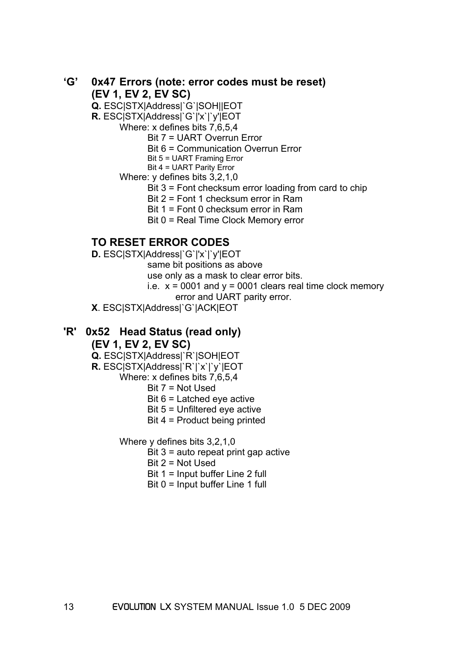#### **'G' 0x47 Errors (note: error codes must be reset) (EV 1, EV 2, EV SC)**

**Q.** ESC|STX|Address|`G`|SOH||EOT

**R.** ESC|STX|Address|`G`|'x`|`y'|EOT

Where: x defines bits 7,6,5,4

Bit 7 = UART Overrun Error

Bit 6 = Communication Overrun Error

Bit 5 = UART Framing Error

 Bit 4 = UART Parity Error Where: y defines bits 3,2,1,0

Bit 3 = Font checksum error loading from card to chip

Bit 2 = Font 1 checksum error in Ram

Bit 1 = Font 0 checksum error in Ram

Bit 0 = Real Time Clock Memory error

## **TO RESET ERROR CODES**

**D.** ESC|STX|Address|`G`|'x`|`y'|EOT

same bit positions as above

use only as a mask to clear error bits.

i.e.  $x = 0001$  and  $y = 0001$  clears real time clock memory

error and UART parity error.

**X**. ESC|STX|Address|`G`|ACK|EOT

#### **'R' 0x52 Head Status (read only) (EV 1, EV 2, EV SC)**

 **Q.** ESC|STX|Address|`R`|SOH|EOT

 **R.** ESC|STX|Address|`R`|`x`|`y`|EOT

Where: x defines bits 7,6,5,4

Bit 7 = Not Used

Bit 6 = Latched eye active

Bit 5 = Unfiltered eye active

Bit 4 = Product being printed

Where y defines bits 3,2,1,0

Bit 3 = auto repeat print gap active

Bit 2 = Not Used

Bit 1 = Input buffer Line 2 full

Bit 0 = Input buffer Line 1 full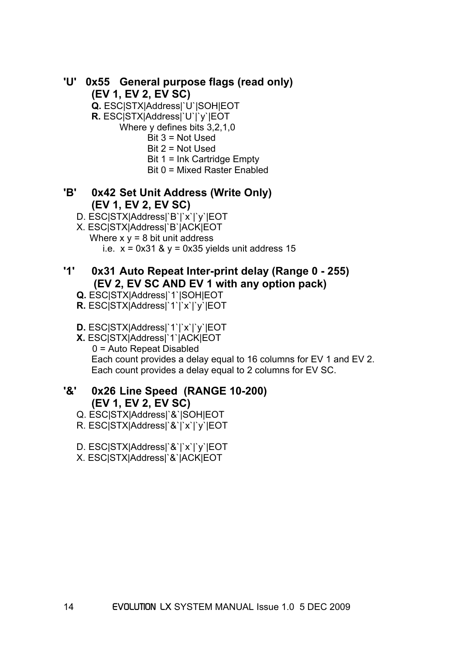## **'U' 0x55 General purpose flags (read only) (EV 1, EV 2, EV SC)**

 **Q.** ESC|STX|Address|`U`|SOH|EOT

 **R.** ESC|STX|Address|`U`|`y`|EOT

Where y defines bits 3,2,1,0

- Bit 3 = Not Used
- Bit 2 = Not Used
- Bit 1 = Ink Cartridge Empty
- Bit 0 = Mixed Raster Enabled

#### **'B' 0x42 Set Unit Address (Write Only) (EV 1, EV 2, EV SC)**

- D. ESC|STX|Address|`B`|`x`|`y`|EOT
- X. ESC|STX|Address|`B`|ACK|EOT Where  $x y = 8$  bit unit address
	- i.e.  $x = 0x31$  &  $y = 0x35$  yields unit address 15

## **'1' 0x31 Auto Repeat Inter-print delay (Range 0 - 255) (EV 2, EV SC AND EV 1 with any option pack)**

- **Q.** ESC|STX|Address|`1`|SOH|EOT
- **R.** ESC|STX|Address|`1`|`x`|`y`|EOT
- **D.** ESC|STX|Address|`1`|`x`|`y`|EOT
- **X.** ESC|STX|Address|`1`|ACK|EOT 0 = Auto Repeat Disabled Each count provides a delay equal to 16 columns for EV 1 and EV 2. Each count provides a delay equal to 2 columns for EV SC.

#### **'&' 0x26 Line Speed (RANGE 10-200) (EV 1, EV 2, EV SC)**

- Q. ESC|STX|Address|`&`|SOH|EOT
- R. ESC|STX|Address|`&`|`x`|`y`|EOT
- D. ESC|STX|Address|`&`|`x`|`y`|EOT
- X. ESC|STX|Address|`&`|ACK|EOT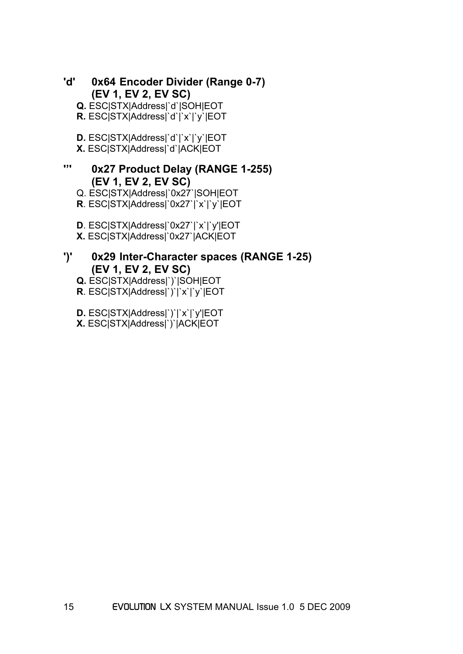- **'d' 0x64 Encoder Divider (Range 0-7) (EV 1, EV 2, EV SC)** 
	- **Q.** ESC|STX|Address|`d`|SOH|EOT
	- **R.** ESC|STX|Address|`d`|`x`|`y`|EOT
	- **D.** ESC|STX|Address|`d`|`x`|`y`|EOT
	- **X.** ESC|STX|Address|`d`|ACK|EOT

# **''' 0x27 Product Delay (RANGE 1-255) (EV 1, EV 2, EV SC)**

- Q. ESC|STX|Address|`0x27`|SOH|EOT
- **R**. ESC|STX|Address|`0x27`|`x`|`y`|EOT
- **D**. ESC|STX|Address|`0x27`|`x`|`y'|EOT **X.** ESC|STX|Address|`0x27`|ACK|EOT

## **')' 0x29 Inter-Character spaces (RANGE 1-25) (EV 1, EV 2, EV SC)**

- **Q.** ESC|STX|Address|`)`|SOH|EOT
- **R**. ESC|STX|Address|`)`|`x`|`y`|EOT
- **D.** ESC|STX|Address|`)`|`x`|`y'|EOT
- **X.** ESC|STX|Address|`)`|ACK|EOT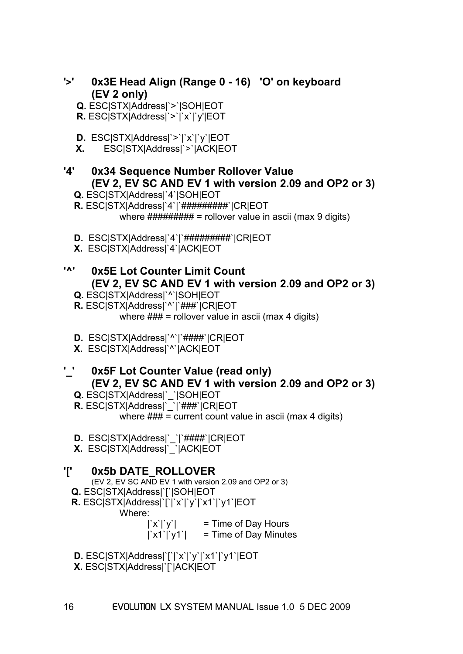- **'>' 0x3E Head Align (Range 0 16) 'O' on keyboard (EV 2 only)**
	- **Q.** ESC|STX|Address|`>`|SOH|EOT
	- **R.** ESC|STX|Address|`>`|`x`|`y'|EOT
	- **D.** ESC|STX|Address|`>`|`x`|`y`|EOT
	- **X.** ESC|STX|Address|`>`|ACK|EOT

# **'4' 0x34 Sequence Number Rollover Value (EV 2, EV SC AND EV 1 with version 2.09 and OP2 or 3)**

- **Q.** ESC|STX|Address|`4`|SOH|EOT
- **R.** ESC|STX|Address|`4`|`##########`|CR|EOT where  $\# \# \# \# \# \# \# \# \# \neq$  rollover value in ascii (max 9 digits)
- **D.** ESC|STX|Address|`4`|`#########`|CR|EOT
- **X.** ESC|STX|Address|`4`|ACK|EOT

# **'^' 0x5E Lot Counter Limit Count (EV 2, EV SC AND EV 1 with version 2.09 and OP2 or 3)**

- **Q.** ESC|STX|Address|`^`|SOH|EOT
- **R.** ESC|STX|Address|`^`|`###`|CR|EOT where  $\# \# \# =$  rollover value in ascii (max 4 digits)
- **D.** ESC|STX|Address|`^`|`####`|CR|EOT
- **X.** ESC|STX|Address|`^`|ACK|EOT

# **'\_' 0x5F Lot Counter Value (read only) (EV 2, EV SC AND EV 1 with version 2.09 and OP2 or 3)**

- **Q.** ESC|STX|Address|`\_`|SOH|EOT
- **R.** ESC|STX|Address|`\_`|`###`|CR|EOT

where  $\# \# \# =$  current count value in ascii (max 4 digits)

- **D.** ESC|STX|Address|`\_`|`####`|CR|EOT
- **X.** ESC|STX|Address|`\_`|ACK|EOT

# **'[' 0x5b DATE\_ROLLOVER**

- (EV 2, EV SC AND EV 1 with version 2.09 and OP2 or 3)  **Q.** ESC|STX|Address|`[`|SOH|EOT
- **R.** ESC|STX|Address|`[`|`x`|`y`|`x1`|`y1`|EOT
	- Where:

 $|\hat{x}| \hat{y}|$  = Time of Day Hours

 $|\forall x1\rangle |\forall 1\rangle$  = Time of Day Minutes

**D.** ESC|STX|Address|`[`|`x`|`y`|`x1`|`y1`|EOT

**X.** ESC|STX|Address|`[`|ACK|EOT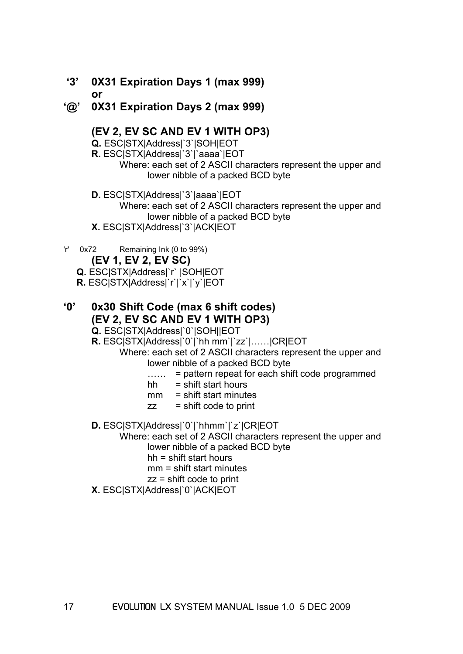- **'3' 0X31 Expiration Days 1 (max 999) or**
- **'@' 0X31 Expiration Days 2 (max 999)**

#### **(EV 2, EV SC AND EV 1 WITH OP3)**

**Q.** ESC|STX|Address|`3`|SOH|EOT

**R.** ESC|STX|Address|`3`|`aaaa`|EOT

 Where: each set of 2 ASCII characters represent the upper and lower nibble of a packed BCD byte

 **D.** ESC|STX|Address|`3`|aaaa`|EOT Where: each set of 2 ASCII characters represent the upper and lower nibble of a packed BCD byte **X.** ESC|STX|Address|`3`|ACK|EOT

'r' 0x72 Remaining Ink (0 to 99%)

## **(EV 1, EV 2, EV SC)**

**Q.** ESC|STX|Address|`r` |SOH|EOT

**R.** ESC|STX|Address|`r`|`x`|`y`|EOT

# **'0' 0x30 Shift Code (max 6 shift codes) (EV 2, EV SC AND EV 1 WITH OP3)**

**Q.** ESC|STX|Address|`0`|SOH||EOT

**R.** ESC|STX|Address|`0`|`hh mm`|`zz`|……|CR|EOT

 Where: each set of 2 ASCII characters represent the upper and lower nibble of a packed BCD byte

- ...... = pattern repeat for each shift code programmed
- $hh =$  shift start hours
- $mm =$  shift start minutes
- $zz$  = shift code to print
- **D.** ESC|STX|Address|`0`|`hhmm`|`z`|CR|EOT

Where: each set of 2 ASCII characters represent the upper and

lower nibble of a packed BCD byte

hh = shift start hours

mm = shift start minutes

- zz = shift code to print
- **X.** ESC|STX|Address|`0`|ACK|EOT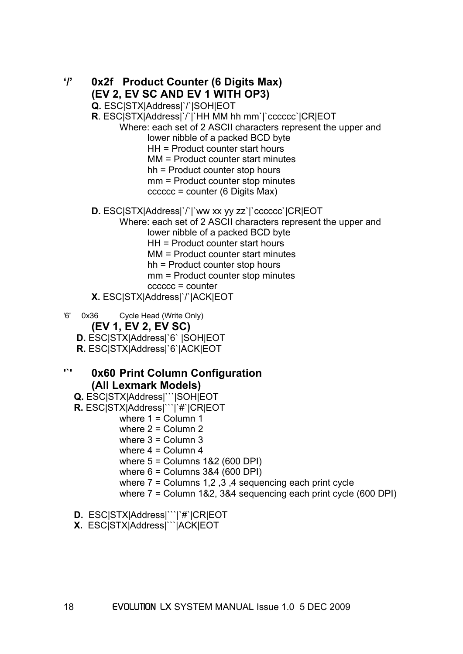**'/' 0x2f Product Counter (6 Digits Max) (EV 2, EV SC AND EV 1 WITH OP3) Q.** ESC|STX|Address|`/`|SOH|EOT **R**. ESC|STX|Address|`/`|`HH MM hh mm`|`cccccc`|CR|EOT Where: each set of 2 ASCII characters represent the upper and lower nibble of a packed BCD byte HH = Product counter start hours MM = Product counter start minutes hh = Product counter stop hours mm = Product counter stop minutes cccccc = counter (6 Digits Max) **D.** ESC|STX|Address|`/`|`ww xx yy zz`|`cccccc`|CR|EOT Where: each set of 2 ASCII characters represent the upper and lower nibble of a packed BCD byte HH = Product counter start hours MM = Product counter start minutes hh = Product counter stop hours mm = Product counter stop minutes cccccc = counter **X.** ESC|STX|Address|`/`|ACK|EOT '6' 0x36 Cycle Head (Write Only) **(EV 1, EV 2, EV SC) D.** ESC|STX|Address|`6` |SOH|EOT **R.** ESC|STX|Address|`6`|ACK|EOT **'`' 0x60 Print Column Configuration (All Lexmark Models) Q.** ESC|STX|Address|```|SOH|EOT

- **R.** ESC|STX|Address|```|`#`|CR|EOT where  $1 =$  Column 1 where  $2 =$  Column 2 where  $3 =$  Column 3 where  $4 =$  Column  $4$  where 5 = Columns 1&2 (600 DPI) where 6 = Columns 3&4 (600 DPI) where 7 = Columns 1,2 ,3 ,4 sequencing each print cycle where 7 = Column 1&2, 3&4 sequencing each print cycle (600 DPI)
	- **D.** ESC|STX|Address|```|`#`|CR|EOT
	- **X.** ESC|STX|Address|```|ACK|EOT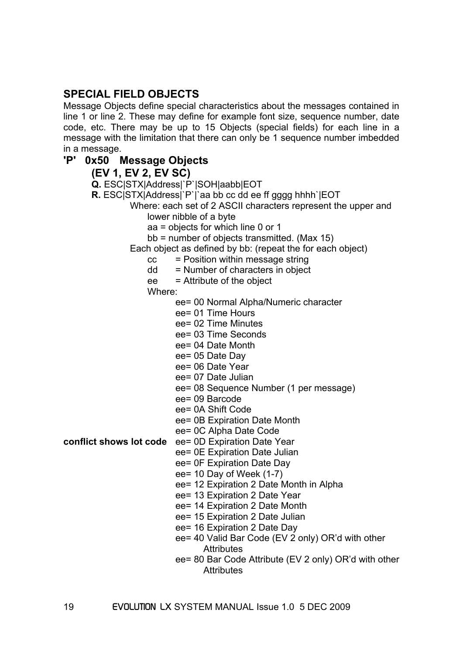## **SPECIAL FIELD OBJECTS**

Message Objects define special characteristics about the messages contained in line 1 or line 2. These may define for example font size, sequence number, date code, etc. There may be up to 15 Objects (special fields) for each line in a message with the limitation that there can only be 1 sequence number imbedded in a message.

#### **'P' 0x50 Message Objects**

**(EV 1, EV 2, EV SC)** 

 **Q.** ESC|STX|Address|`P`|SOH|aabb|EOT  **R.** ESC|STX|Address|`P`|`aa bb cc dd ee ff gggg hhhh`|EOT Where: each set of 2 ASCII characters represent the upper and lower nibble of a byte aa = objects for which line 0 or 1 bb = number of objects transmitted. (Max 15) Each object as defined by bb: (repeat the for each object)  $cc =$  Position within message string  $dd =$  Number of characters in object ee = Attribute of the object Where: ee= 00 Normal Alpha/Numeric character ee= 01 Time Hours ee= 02 Time Minutes ee= 03 Time Seconds ee= 04 Date Month ee= 05 Date Day ee= 06 Date Year ee= 07 Date Julian ee= 08 Sequence Number (1 per message) ee= 09 Barcode ee= 0A Shift Code ee= 0B Expiration Date Month ee= 0C Alpha Date Code **conflict shows lot code** ee= 0D Expiration Date Year ee= 0E Expiration Date Julian ee= 0F Expiration Date Day ee= 10 Day of Week (1-7) ee= 12 Expiration 2 Date Month in Alpha ee= 13 Expiration 2 Date Year ee= 14 Expiration 2 Date Month ee= 15 Expiration 2 Date Julian ee= 16 Expiration 2 Date Day ee= 40 Valid Bar Code (EV 2 only) OR'd with other **Attributes** 

ee= 80 Bar Code Attribute (EV 2 only) OR'd with other **Attributes**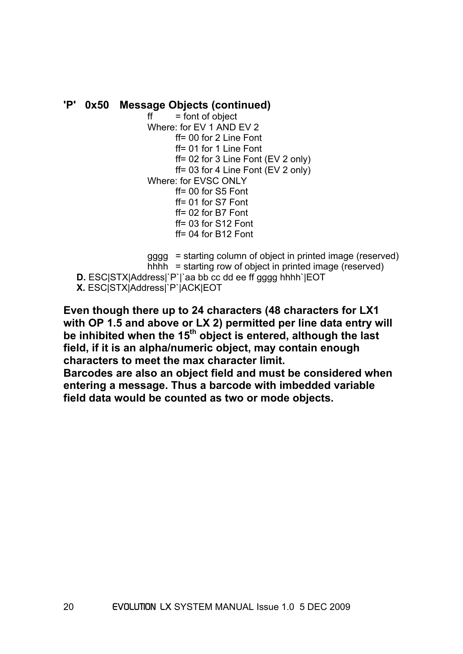#### **'P' 0x50 Message Objects (continued)**

 $f$  = font of object Where: for EV 1 AND EV 2  $ff = 00$  for 2 Line Font ff= 01 for 1 Line Font ff= 02 for 3 Line Font (EV 2 only) ff= 03 for 4 Line Font (EV 2 only) Where: for EVSC ONLY ff= 00 for S5 Font ff= 01 for S7 Font ff= 02 for B7 Font ff= 03 for S12 Font ff= 04 for B12 Font

 gggg = starting column of object in printed image (reserved) hhhh = starting row of object in printed image (reserved) **D.** ESC|STX|Address|`P`|`aa bb cc dd ee ff gggg hhhh`|EOT **X.** ESC|STX|Address|`P`|ACK|EOT

**Even though there up to 24 characters (48 characters for LX1 with OP 1.5 and above or LX 2) permitted per line data entry will be inhibited when the 15th object is entered, although the last field, if it is an alpha/numeric object, may contain enough characters to meet the max character limit.** 

**Barcodes are also an object field and must be considered when entering a message. Thus a barcode with imbedded variable field data would be counted as two or mode objects.**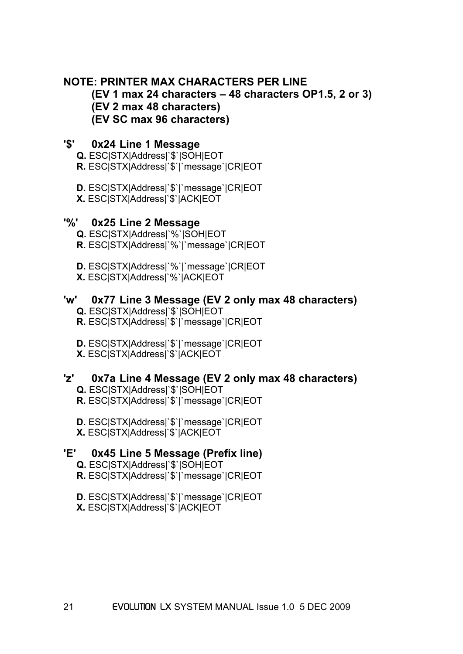## **NOTE: PRINTER MAX CHARACTERS PER LINE**

#### **(EV 1 max 24 characters – 48 characters OP1.5, 2 or 3) (EV 2 max 48 characters) (EV SC max 96 characters)**

#### **'\$' 0x24 Line 1 Message**

 **Q.** ESC|STX|Address|`\$`|SOH|EOT **R.** ESC|STX|Address|`\$`|`message`|CR|EOT

 **D.** ESC|STX|Address|`\$`|`message`|CR|EOT **X.** ESC|STX|Address|`\$`|ACK|EOT

#### **'%' 0x25 Line 2 Message**

 **Q.** ESC|STX|Address|`%`|SOH|EOT **R.** ESC|STX|Address|`%`|`message`|CR|EOT

 **D.** ESC|STX|Address|`%`|`message`|CR|EOT **X.** ESC|STX|Address|`%`|ACK|EOT

## **'w' 0x77 Line 3 Message (EV 2 only max 48 characters)**

- **Q.** ESC|STX|Address|`\$`|SOH|EOT
- **R.** ESC|STX|Address|`\$`|`message`|CR|EOT
- **D.** ESC|STX|Address|`\$`|`message`|CR|EOT **X.** ESC|STX|Address|`\$`|ACK|EOT

#### **'z' 0x7a Line 4 Message (EV 2 only max 48 characters)**

 **Q.** ESC|STX|Address|`\$`|SOH|EOT **R.** ESC|STX|Address|`\$`|`message`|CR|EOT

- **D.** ESC|STX|Address|`\$`|`message`|CR|EOT
- **X.** ESC|STX|Address|`\$`|ACK|EOT

# **'E' 0x45 Line 5 Message (Prefix line)**

- **Q.** ESC|STX|Address|`\$`|SOH|EOT
- **R.** ESC|STX|Address|`\$`|`message`|CR|EOT
- **D.** ESC|STX|Address|`\$`|`message`|CR|EOT
- **X.** ESC|STX|Address|`\$`|ACK|EOT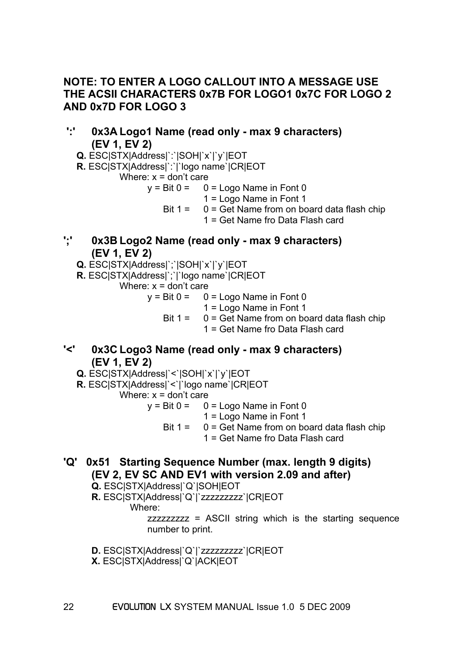## **NOTE: TO ENTER A LOGO CALLOUT INTO A MESSAGE USE THE ACSII CHARACTERS 0x7B FOR LOGO1 0x7C FOR LOGO 2 AND 0x7D FOR LOGO 3**

- **':' 0x3A Logo1 Name (read only max 9 characters) (EV 1, EV 2)** 
	- **Q.** ESC|STX|Address|`:`|SOH|`x`|`y`|EOT
	- **R.** ESC|STX|Address|`:`|`logo name`|CR|EOT

Where: 
$$
x =
$$
 don't care

- $y = \text{Bit } 0 = 0 = \text{Logo Name in Font } 0$ 
	- 1 = Logo Name in Font 1
	- Bit  $1 = 0 = \text{Get Name from on board data flash chip}$ 
		- 1 = Get Name fro Data Flash card
- **';' 0x3B Logo2 Name (read only max 9 characters) (EV 1, EV 2)** 
	- **Q.** ESC|STX|Address|`;`|SOH|`x`|`y`|EOT
	- **R.** ESC|STX|Address|`;`|`logo name`|CR|EOT
		- Where:  $x =$  don't care
			- $y = \text{Bit } 0 = 0 = \text{Logo Name in Font } 0$ 
				- 1 = Logo Name in Font 1
				- Bit  $1 = 0 = \text{Get Name from on board data flash chip}$ 
					- 1 = Get Name fro Data Flash card
- **'<' 0x3C Logo3 Name (read only max 9 characters) (EV 1, EV 2)** 
	- **Q.** ESC|STX|Address|`<`|SOH|`x`|`y`|EOT
	- **R.** ESC|STX|Address|`<`|`logo name`|CR|EOT

Where:  $x =$  don't care

- $y = Bit 0 = 0 = Logo$  Name in Font 0
	- 1 = Logo Name in Font 1
	- Bit  $1 = 0 =$  Get Name from on board data flash chip
		- 1 = Get Name fro Data Flash card
- **'Q' 0x51 Starting Sequence Number (max. length 9 digits) (EV 2, EV SC AND EV1 with version 2.09 and after)**

 **Q.** ESC|STX|Address|`Q`|SOH|EOT

 **R.** ESC|STX|Address|`Q`|`zzzzzzzzz`|CR|EOT

Where:

zzzzzzzzz = ASCII string which is the starting sequence number to print.

- **D.** ESC|STX|Address|`Q`|`zzzzzzzzz`|CR|EOT
- **X.** ESC|STX|Address|`Q`|ACK|EOT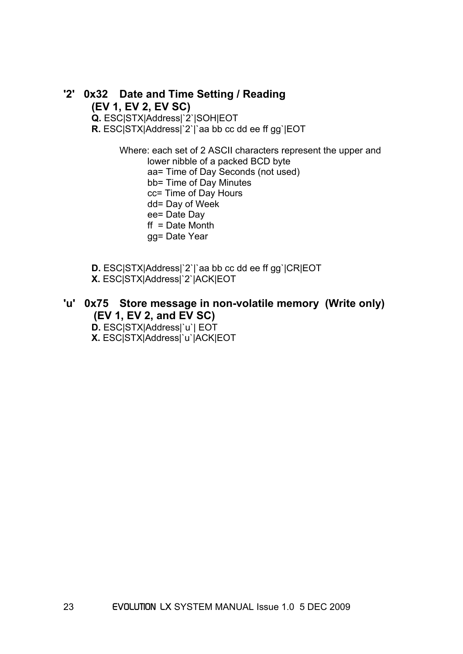## **'2' 0x32 Date and Time Setting / Reading (EV 1, EV 2, EV SC) Q.** ESC|STX|Address|`2`|SOH|EOT  **R.** ESC|STX|Address|`2`|`aa bb cc dd ee ff gg`|EOT

 Where: each set of 2 ASCII characters represent the upper and lower nibble of a packed BCD byte aa= Time of Day Seconds (not used) bb= Time of Day Minutes cc= Time of Day Hours dd= Day of Week ee= Date Day  $ft = Date Month$ gg= Date Year

- **D.** ESC|STX|Address|`2`|`aa bb cc dd ee ff gg`|CR|EOT
- **X.** ESC|STX|Address|`2`|ACK|EOT

# **'u' 0x75 Store message in non-volatile memory (Write only) (EV 1, EV 2, and EV SC)**

**D.** ESC|STX|Address|`u`| EOT

**X.** ESC|STX|Address|`u`|ACK|EOT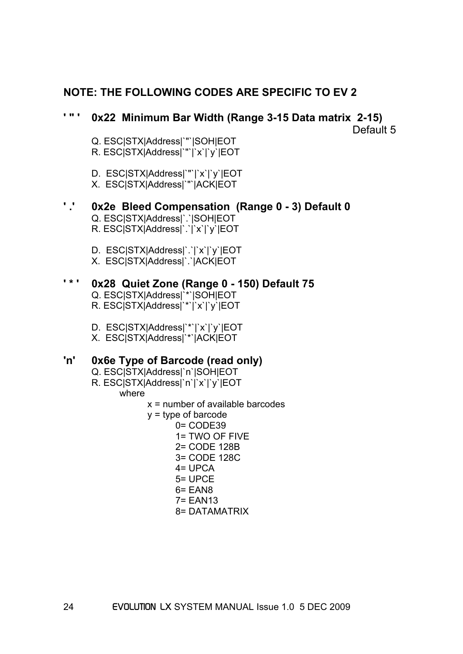# **NOTE: THE FOLLOWING CODES ARE SPECIFIC TO EV 2**

# **' " ' 0x22 Minimum Bar Width (Range 3-15 Data matrix 2-15)**

Default 5

- Q. ESC|STX|Address|`"`|SOH|EOT
- R. ESC|STX|Address|`"`|`x`|`y`|EOT
- D. ESC|STX|Address|`"`|`x`|`y`|EOT
- X. ESC|STX|Address|`"`|ACK|EOT

#### **' .' 0x2e Bleed Compensation (Range 0 - 3) Default 0**

- Q. ESC|STX|Address|`.`|SOH|EOT R. ESC|STX|Address|`.`|`x`|`y`|EOT
- 
- D. ESC|STX|Address|`.`|`x`|`y`|EOT
- X. ESC|STX|Address|`.`|ACK|EOT

## **' \* ' 0x28 Quiet Zone (Range 0 - 150) Default 75**

- Q. ESC|STX|Address|`\*`|SOH|EOT
- R. ESC|STX|Address|`\*`|`x`|`y`|EOT
- D. ESC|STX|Address|`\*`|`x`|`y`|EOT
- X. ESC|STX|Address|`\*`|ACK|EOT

# **'n' 0x6e Type of Barcode (read only)**

- Q. ESC|STX|Address|`n`|SOH|EOT
- R. ESC|STX|Address|`n`|`x`|`y`|EOT

#### where

- $x =$  number of available barcodes
- $y = type of barcode$ 
	- 0= CODE39 1= TWO OF FIVE 2= CODE 128B 3= CODE 128C 4= UPCA 5= UPCE 6= EAN8 7= EAN13 8= DATAMATRIX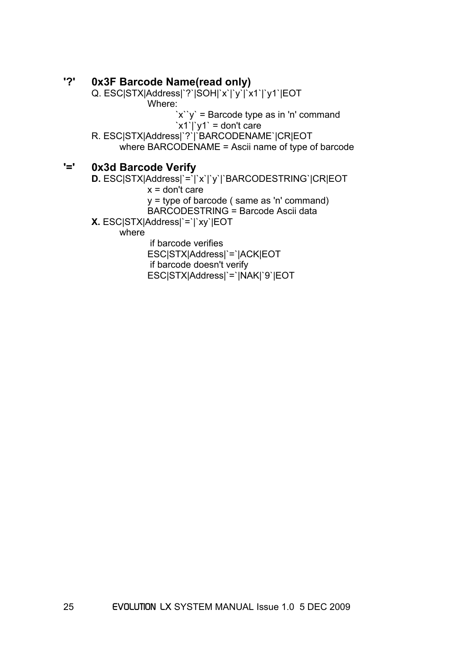#### **'?' 0x3F Barcode Name(read only)**

 Q. ESC|STX|Address|`?`|SOH|`x`|`y`|`x1`|`y1`|EOT Where:  $\forall x \forall y$  = Barcode type as in 'n' command ` $x1$ `|` $y1$ ` = don't care R. ESC|STX|Address|`?`|`BARCODENAME`|CR|EOT where BARCODENAME = Ascii name of type of barcode

# **'=' 0x3d Barcode Verify**

 **D.** ESC|STX|Address|`=`|`x`|`y`|`BARCODESTRING`|CR|EOT

 $x =$  don't care

y = type of barcode ( same as 'n' command)

BARCODESTRING = Barcode Ascii data

 **X.** ESC|STX|Address|`=`|`xy`|EOT

where

if barcode verifies

 ESC|STX|Address|`=`|ACK|EOT if barcode doesn't verify

ESC|STX|Address|`=`|NAK|`9`|EOT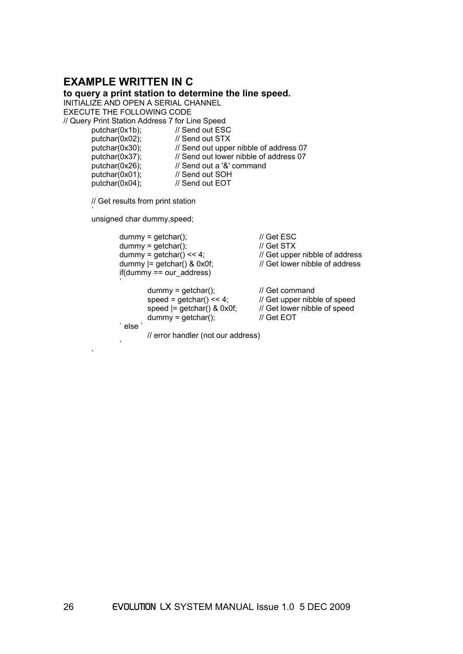#### **EXAMPLE WRITTEN IN C**

**to query a print station to determine the line speed.** 

INITIALIZE AND OPEN A SERIAL CHANNEL EXECUTE THE FOLLOWING CODE // Query Print Station Address 7 for Line Speed

putchar(0x1b); // Send out ESC putchar(0x02); // Send out STX putchar(0x30); // Send out upper nibble of address 07 putchar(0x37); // Send out lower nibble of address 07<br>putchar(0x26); // Send out a '&' command

an an S

// Send out a '&' command

putchar(0x01); // Send out SOH<br>putchar(0x04); // Send out EOT // Send out EOT

// Get results from print station

an an S unsigned char dummy,speed;

```
dummy = getchar(); \angle // Get ESC
                            dummy = qetchar(); \frac{d}{dx} // Get STX
                            dummy = getchar() \ll 4; \lvert / \rvert Get upper nibble of address
                            dummy = getchar() & 0x0f; // Get lower nibble of address
                             if(dummy == our_address) 
the contract of the contract of the contract of the contract of the contract of the contract of the contract of<br>The contract of the contract of the contract of the contract of the contract of the contract of the contract o
                                          dummy = getchar(); \angle // Get command<br>speed = getchar() << 4; \angle // Get upper nibb
                                                                                                   // Get upper nibble of speed
                                          speed = getchar() & 0x0f; // Get lower nibble of speed
                                          dummy = getchar(); // Get EOT
                             ` else ` 
                                           // error handler (not our address) 
the contract of the contract of the contract of the contract of the contract of the contract of the contract of<br>The contract of the contract of the contract of the contract of the contract of the contract of the contract o
```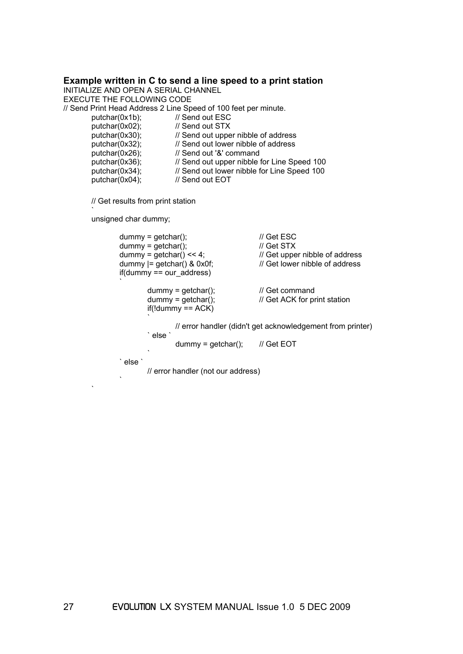#### **Example written in C to send a line speed to a print station**

INITIALIZE AND OPEN A SERIAL CHANNEL EXECUTE THE FOLLOWING CODE // Send Print Head Address 2 Line Speed of 100 feet per minute. putchar(0x1b); // Send out ESC putchar(0x02); // Send out STX  $putchar(0x30);$  // Send out upper nibble of address putchar(0x32); // Send out lower nibble of address putchar(0x26); // Send out '&' command putchar(0x36); // Send out upper nibble for Line Speed 100 putchar(0x34); <br>  $\frac{1}{10}$  Send out lower nibble for Line Speed 100<br>  $\frac{1}{10}$  Dend out EOT  $putchar(0x04);$ 

// Get results from print station

unsigned char dummy;

an an S

and the contract of the contract of the contract of the contract of the contract of the contract of the contract of the contract of the contract of the contract of the contract of the contract of the contract of the contra

and a string

```
dummy = getchar(); \angle // Get ESC
                                dummy = qetchar(); \frac{d}{dx} // Get STX
                                 dummy = getchar() << 4; // Get upper nibble of address 
                                dummy = getchar() & 0x0f; // Get lower nibble of address
                                 if(dummy == our_address) 
the contract of the contract of the contract of the contract of the contract of the contract of the contract of<br>The contract of the contract of the contract of the contract of the contract of the contract of the contract o
                                                dummy = getchar(); \angle // Get command<br>dummy = getchar(); \angle // Get ACK for pro-
                                                                                                                 // Get ACK for print station
                                                if(!dummy == ACK)
Solution in the contract of the contract of the contract of the contract of the contract of the contract of the contract of the contract of the contract of the contract of the contract of the contract of the contract of 
                                                                 // error handler (didn't get acknowledgement from printer) 
                                                  ` else ` 
                                                                 dummy = getchar(); // Get EOT
Solution in the contract of the contract of the contract of the contract of the contract of the contract of the contract of the contract of the contract of the contract of the contract of the contract of the contract of 
                                 ` else ` 
                                                 // error handler (not our address)
```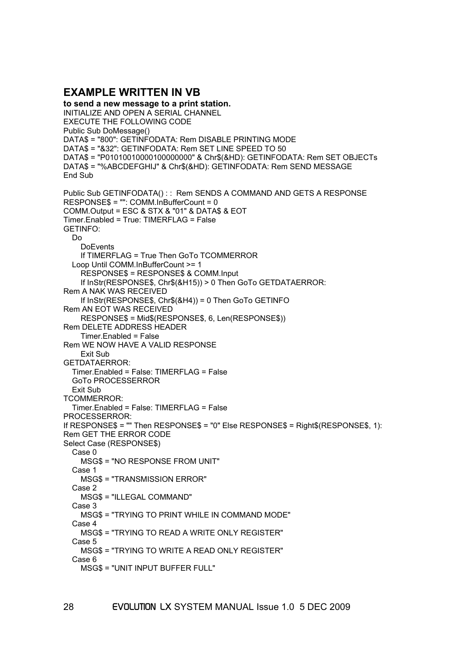#### **EXAMPLE WRITTEN IN VB**

**to send a new message to a print station.**  INITIALIZE AND OPEN A SERIAL CHANNEL EXECUTE THE FOLLOWING CODE Public Sub DoMessage() DATA\$ = "800": GETINFODATA: Rem DISABLE PRINTING MODE DATA\$ = "&32": GETINFODATA: Rem SET LINE SPEED TO 50 DATA\$ = "P01010010000100000000" & Chr\$(&HD): GETINFODATA: Rem SET OBJECTs DATA\$ = "%ABCDEFGHIJ" & Chr\$(&HD): GETINFODATA: Rem SEND MESSAGE End Sub Public Sub GETINFODATA() : : Rem SENDS A COMMAND AND GETS A RESPONSE RESPONSE\$ = "": COMM.InBufferCount = 0 COMM.Output = ESC & STX & "01" & DATA\$ & EOT Timer.Enabled = True: TIMERFLAG = False GETINFO: Do **DoEvents**  If TIMERFLAG = True Then GoTo TCOMMERROR Loop Until COMM.InBufferCount >= 1 RESPONSE\$ = RESPONSE\$ & COMM.Input If InStr(RESPONSE\$, Chr\$(&H15)) > 0 Then GoTo GETDATAERROR: Rem A NAK WAS RECEIVED If InStr(RESPONSE\$, Chr\$(&H4)) = 0 Then GoTo GETINFO Rem AN EOT WAS RECEIVED RESPONSE\$ = Mid\$(RESPONSE\$, 6, Len(RESPONSE\$)) Rem DELETE ADDRESS HEADER Timer.Enabled = False Rem WE NOW HAVE A VALID RESPONSE Exit Sub GETDATAERROR: Timer.Enabled = False: TIMERFLAG = False GoTo PROCESSERROR Exit Sub TCOMMERROR: Timer.Enabled = False: TIMERFLAG = False PROCESSERROR: If RESPONSE\$ = "" Then RESPONSE\$ = "0" Else RESPONSE\$ = Right\$(RESPONSE\$, 1): Rem GET THE ERROR CODE Select Case (RESPONSE\$) Case 0 MSG\$ = "NO RESPONSE FROM UNIT" Case 1 MSG\$ = "TRANSMISSION ERROR" Case 2 MSG\$ = "ILLEGAL COMMAND" Case 3 MSG\$ = "TRYING TO PRINT WHILE IN COMMAND MODE" Case 4 MSG\$ = "TRYING TO READ A WRITE ONLY REGISTER" Case 5 MSG\$ = "TRYING TO WRITE A READ ONLY REGISTER" Case 6 MSG\$ = "UNIT INPUT BUFFER FULL"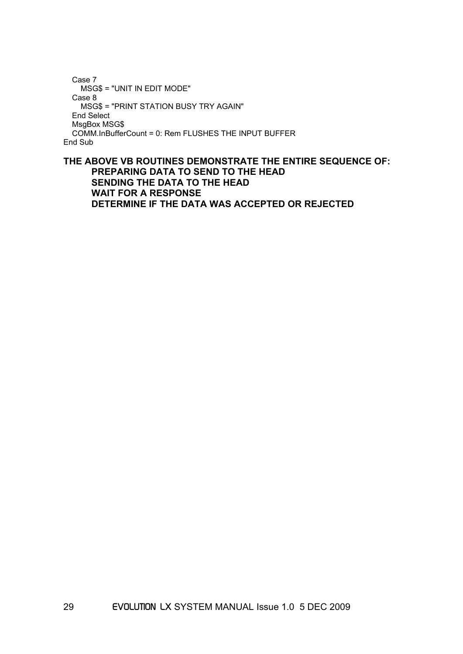```
 Case 7 
     MSG$ = "UNIT IN EDIT MODE" 
   Case 8 
     MSG$ = "PRINT STATION BUSY TRY AGAIN" 
   End Select 
   MsgBox MSG$ 
   COMM.InBufferCount = 0: Rem FLUSHES THE INPUT BUFFER 
End Sub
```
#### **THE ABOVE VB ROUTINES DEMONSTRATE THE ENTIRE SEQUENCE OF: PREPARING DATA TO SEND TO THE HEAD SENDING THE DATA TO THE HEAD WAIT FOR A RESPONSE DETERMINE IF THE DATA WAS ACCEPTED OR REJECTED**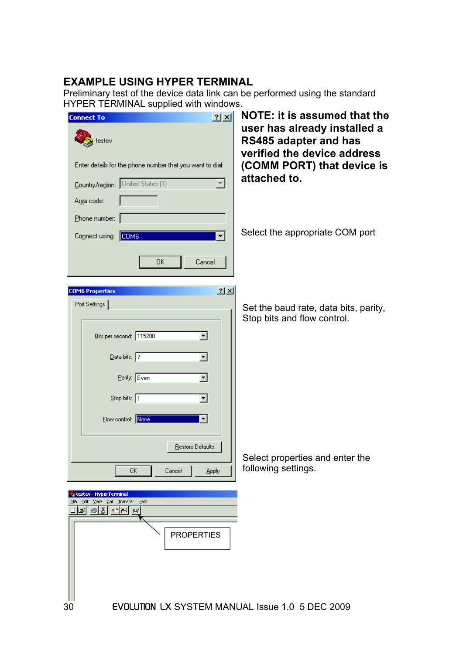# **EXAMPLE USING HYPER TERMINAL**

Preliminary test of the device data link can be performed using the standard HYPER TERMINAL supplied with windows.

| 2 X <br><b>Connect To</b>                                      | <b>NOTE: it is assumed that the</b>                                                         |
|----------------------------------------------------------------|---------------------------------------------------------------------------------------------|
| testev                                                         | user has already installed a<br><b>RS485 adapter and has</b><br>verified the device address |
| Enter details for the phone number that you want to dial:      | (COMM PORT) that device is                                                                  |
| Country/region: United States (1)                              | attached to.                                                                                |
| Arga code:                                                     |                                                                                             |
| Phone number:                                                  |                                                                                             |
| Connect using: COM6                                            | Select the appropriate COM port                                                             |
| OΚ<br>Cancel                                                   |                                                                                             |
| $2 \times$<br><b>COM6 Properties</b>                           |                                                                                             |
| Port Settings                                                  | Set the baud rate, data bits, parity,                                                       |
|                                                                | Stop bits and flow control.                                                                 |
| Bits per second: 115200<br>▾                                   |                                                                                             |
| $\overline{\mathsf{D}}$ ata bits: 7<br>▼                       |                                                                                             |
| Parity: Even<br>▾                                              |                                                                                             |
| $\frac{1}{2}$ top bits: 1                                      |                                                                                             |
| Flow control: None                                             |                                                                                             |
|                                                                |                                                                                             |
| <u>R</u> estore Defaults                                       | Select properties and enter the                                                             |
| 0K.<br>Cancel<br><b>Apply</b>                                  | following settings.                                                                         |
| testev - HyperTerminal<br>Edit View Call Transfer Help<br>Eile |                                                                                             |
| de 03 db 6                                                     |                                                                                             |
| <b>PROPERTIES</b>                                              |                                                                                             |
|                                                                |                                                                                             |
|                                                                |                                                                                             |
|                                                                |                                                                                             |
| <b>EVOLUTION LX SYSTEM MANUAL Issue 1.0 5 DEC 2009</b><br>30   |                                                                                             |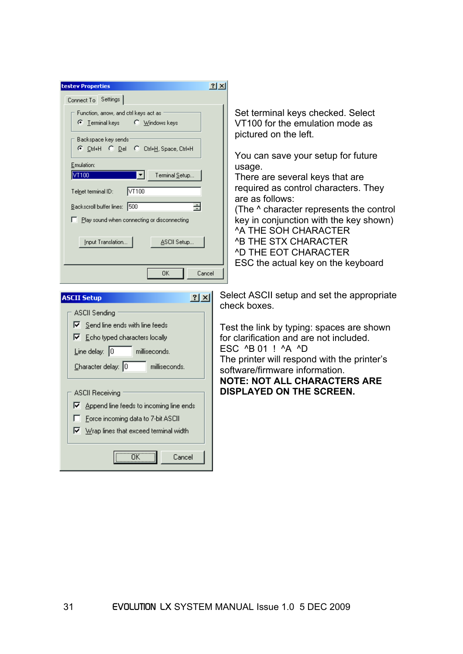| <b>testev Properties</b>                                                                                                                                                                                                                                                                                                                                                                                                                             | 2x                                                                                                                                                                                                                                                                                                                                                                                                                                                                        |
|------------------------------------------------------------------------------------------------------------------------------------------------------------------------------------------------------------------------------------------------------------------------------------------------------------------------------------------------------------------------------------------------------------------------------------------------------|---------------------------------------------------------------------------------------------------------------------------------------------------------------------------------------------------------------------------------------------------------------------------------------------------------------------------------------------------------------------------------------------------------------------------------------------------------------------------|
| Connect To Settings<br>Function, arrow, and ctrl keys act as<br>C Windows keys<br>$\bullet$ Terminal keys<br>Backspace key sends-<br>C Ctrl+H C Del C Ctrl+H, Space, Ctrl+H<br>Emulation:<br>VT100<br>▾╎<br>Terminal Setup<br>VT100<br>Telnet terminal ID:<br>Backscroll buffer lines: 500<br>츻<br>Play sound when connecting or disconnecting<br>ASCII Setup<br>Input Translation<br>0K<br>Cancel                                                   | Set terminal keys checked. Select<br>VT100 for the emulation mode as<br>pictured on the left.<br>You can save your setup for future<br>usage.<br>There are several keys that are<br>required as control characters. They<br>are as follows:<br>(The ^ character represents the control<br>key in conjunction with the key shown)<br><b>A THE SOH CHARACTER</b><br><b>AB THE STX CHARACTER</b><br><b><i>^D THE EOT CHARACTER</i></b><br>ESC the actual key on the keyboard |
| $ ?  \times  $<br><b>ASCII Setup</b><br><b>ASCII Sending</b><br>$\nabla$ Send line ends with line feeds<br>$\nabla$ Echo typed characters locally<br>Line delay: $ 0 $<br>milliseconds.<br>Character delay: 0<br>milliseconds.<br><b>ASCII Receiving</b><br>$\nabla$ Append line feeds to incoming line ends<br>□ Force incoming data to 7-bit ASCII<br>$\overline{\blacktriangledown}$ Wrap lines that exceed terminal width<br><b>OK</b><br>Cancel | Select ASCII setup and set the appropriate<br>check boxes.<br>Test the link by typing: spaces are shown<br>for clarification and are not included.<br>ESC ^B 01 ! ^A ^D<br>The printer will respond with the printer's<br>software/firmware information.<br><b>NOTE: NOT ALL CHARACTERS ARE</b><br><b>DISPLAYED ON THE SCREEN.</b>                                                                                                                                        |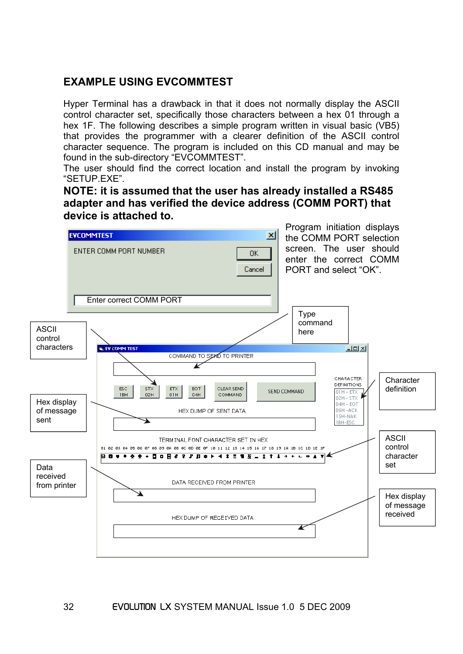# **EXAMPLE USING EVCOMMTEST**

Hyper Terminal has a drawback in that it does not normally display the ASCII control character set, specifically those characters between a hex 01 through a hex 1F. The following describes a simple program written in visual basic (VB5) that provides the programmer with a clearer definition of the ASCII control character sequence. The program is included on this CD manual and may be found in the sub-directory "EVCOMMTEST".

The user should find the correct location and install the program by invoking "SETUP.EXE".

**NOTE: it is assumed that the user has already installed a RS485 adapter and has verified the device address (COMM PORT) that device is attached to.** 

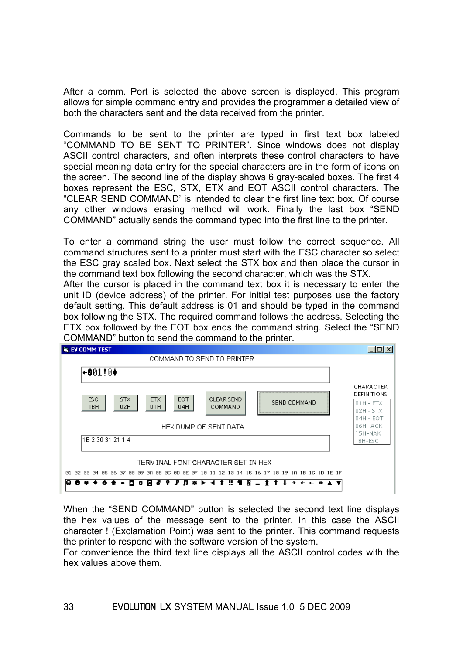After a comm. Port is selected the above screen is displayed. This program allows for simple command entry and provides the programmer a detailed view of both the characters sent and the data received from the printer.

Commands to be sent to the printer are typed in first text box labeled "COMMAND TO BE SENT TO PRINTER". Since windows does not display ASCII control characters, and often interprets these control characters to have special meaning data entry for the special characters are in the form of icons on the screen. The second line of the display shows 6 gray-scaled boxes. The first 4 boxes represent the ESC, STX, ETX and EOT ASCII control characters. The "CLEAR SEND COMMAND' is intended to clear the first line text box. Of course any other windows erasing method will work. Finally the last box "SEND COMMAND" actually sends the command typed into the first line to the printer.

To enter a command string the user must follow the correct sequence. All command structures sent to a printer must start with the ESC character so select the ESC gray scaled box. Next select the STX box and then place the cursor in the command text box following the second character, which was the STX.

After the cursor is placed in the command text box it is necessary to enter the unit ID (device address) of the printer. For initial test purposes use the factory default setting. This default address is 01 and should be typed in the command box following the STX. The required command follows the address. Selecting the ETX box followed by the EOT box ends the command string. Select the "SEND COMMAND" button to send the command to the printer.



When the "SEND COMMAND" button is selected the second text line displays the hex values of the message sent to the printer. In this case the ASCII character ! (Exclamation Point) was sent to the printer. This command requests the printer to respond with the software version of the system.

For convenience the third text line displays all the ASCII control codes with the hex values above them.